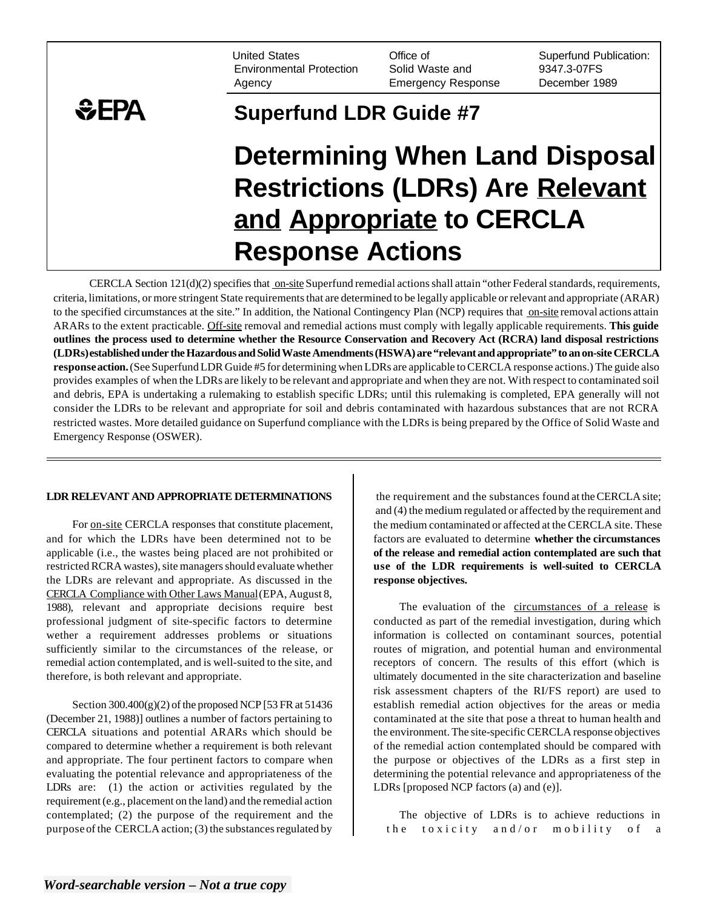United States Environmental Protection Agency

Office of Solid Waste and Emergency Response Superfund Publication: 9347.3-07FS December 1989

## $EPA$ **Superfund LDR Guide #7 Determining When Land Disposal Restrictions (LDRs) Are Relevant and Appropriate to CERCLA Response Actions**

CERCLA Section  $121(d)(2)$  specifies that on-site Superfund remedial actions shall attain "other Federal standards, requirements, criteria, limitations, or more stringent State requirements that are determined to be legally applicable or relevant and appropriate (ARAR) to the specified circumstances at the site." In addition, the National Contingency Plan (NCP) requires that on-site removal actions attain ARARs to the extent practicable. Off-site removal and remedial actions must comply with legally applicable requirements. **This guide outlines the process used to determine whether the Resource Conservation and Recovery Act (RCRA) land disposal restrictions (LDRs)established under the Hazardous and Solid Waste Amendments (HSWA) are "relevant and appropriate" to an on-site CERCLA response action.** (See Superfund LDR Guide #5 for determining when LDRs are applicable to CERCLA response actions.) The guide also provides examples of when the LDRs are likely to be relevant and appropriate and when they are not. With respect to contaminated soil and debris, EPA is undertaking a rulemaking to establish specific LDRs; until this rulemaking is completed, EPA generally will not consider the LDRs to be relevant and appropriate for soil and debris contaminated with hazardous substances that are not RCRA restricted wastes. More detailed guidance on Superfund compliance with the LDRs is being prepared by the Office of Solid Waste and Emergency Response (OSWER).

## **LDR RELEVANT AND APPROPRIATE DETERMINATIONS**

For on-site CERCLA responses that constitute placement, and for which the LDRs have been determined not to be applicable (i.e., the wastes being placed are not prohibited or restricted RCRA wastes), site managers should evaluate whether the LDRs are relevant and appropriate. As discussed in the CERCLA Compliance with Other Laws Manual(EPA, August 8, 1988), relevant and appropriate decisions require best professional judgment of site-specific factors to determine wether a requirement addresses problems or situations sufficiently similar to the circumstances of the release, or remedial action contemplated, and is well-suited to the site, and therefore, is both relevant and appropriate.

Section  $300.400(g)(2)$  of the proposed NCP [53 FR at 51436] (December 21, 1988)] outlines a number of factors pertaining to CERCLA situations and potential ARARs which should be compared to determine whether a requirement is both relevant and appropriate. The four pertinent factors to compare when evaluating the potential relevance and appropriateness of the LDRs are: (1) the action or activities regulated by the requirement (e.g., placement on the land) and the remedial action contemplated; (2) the purpose of the requirement and the purpose of the CERCLA action; (3) the substances regulated by

the requirement and the substances found at the CERCLA site; and (4) the medium regulated or affected by the requirement and the medium contaminated or affected at the CERCLA site. These factors are evaluated to determine **whether the circumstances of the release and remedial action contemplated are such that use of the LDR requirements is well-suited to CERCLA response objectives.** 

The evaluation of the circumstances of a release is conducted as part of the remedial investigation, during which information is collected on contaminant sources, potential routes of migration, and potential human and environmental receptors of concern. The results of this effort (which is ultimately documented in the site characterization and baseline risk assessment chapters of the RI/FS report) are used to establish remedial action objectives for the areas or media contaminated at the site that pose a threat to human health and the environment. The site-specific CERCLA response objectives of the remedial action contemplated should be compared with the purpose or objectives of the LDRs as a first step in determining the potential relevance and appropriateness of the LDRs [proposed NCP factors (a) and (e)].

The objective of LDRs is to achieve reductions in the toxicity and/or mobility of a